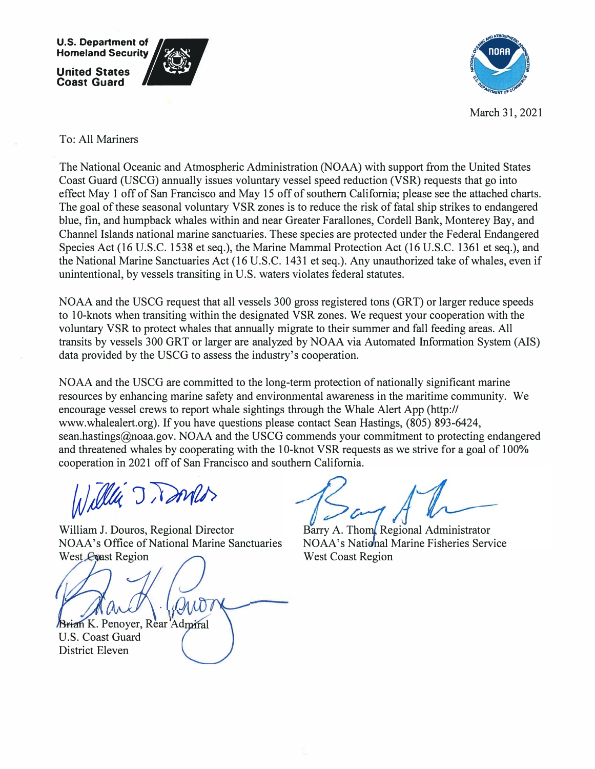

March 31, 2021

## To: All Mariners

The National Oceanic and Atmospheric Administration (NOAA) with support from the United States Coast Guard (USCG) annually issues voluntary vessel speed reduction (VSR) requests that go into effect May 1 off of San Francisco and May 15 off of southern California; please see the attached charts. The goal of these seasonal voluntary VSR zones is to reduce the risk of fatal ship strikes to endangered blue, fin, and humpback whales within and near Greater Farallones, Cordell Bank, Monterey Bay, and Channel Islands national marine sanctuaries. These species are protected under the Federal Endangered Species Act (16 U.S.C. 1538 et seq.), the Marine Mammal Protection Act (16 U.S.C. 1361 et seq.), and the National Marine Sanctuaries Act (16 U.S.C. 1431 et seq.). Any unauthorized take of whales, even if unintentional, by vessels transiting in U.S. waters violates federal statutes.

NOAA and the USCG request that all vessels 300 gross registered tons (ORT) or larger reduce speeds to 10-knots when transiting within the designated VSR zones. We request your cooperation with the voluntary VSR to protect whales that annually migrate to their summer and fall feeding areas. All transits by vessels 300 ORT or larger are analyzed by NOAA via Automated Information System (AIS) data provided by the USCG to assess the industry's cooperation.

NOAA and the USCG are committed to the long-term protection of nationally significant marine resources by enhancing marine safety and environmental awareness in the maritime community. We encourage vessel crews to report whale sightings through the Whale Alert App (http:// www.whalealert.org). If you have questions please contact Sean Hastings, (805) 893-6424, sean.hastings@noaa.gov. NOAA and the USCG commends your commitment to protecting endangered and threatened whales by cooperating with the 10-knot VSR requests as we strive for a goal of 100% cooperation in 2021 off of San Francisco and southern California.

Willia J Dones

William J. Douros, Regional Director NOAA's Office of National Marine Sanctuaries West Coast Region

Brian K. Penoyer, Rear Admiral U.S. Coast Guard District Eleven

Barry A. Thom, Regional Administrator NOAA's National Marine Fisheries Service West Coast Region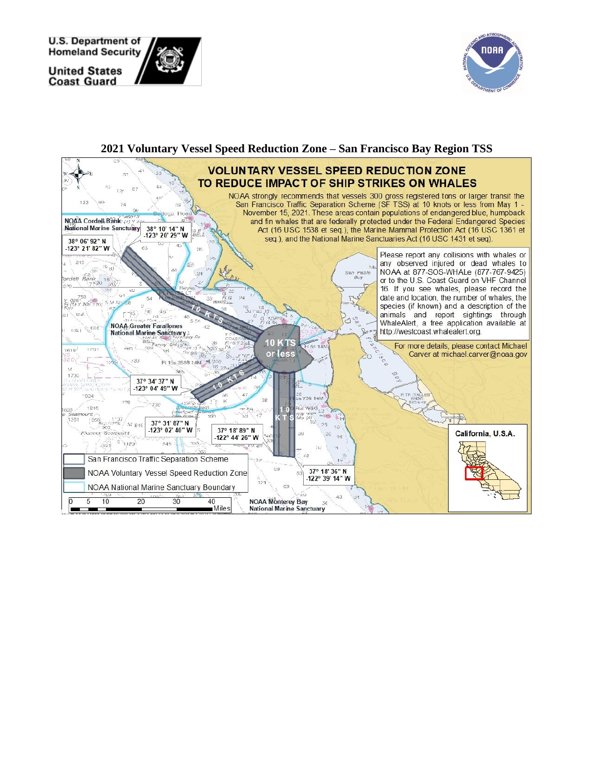**U.S. Department of Homeland Security** 

**United States Coast Guard**